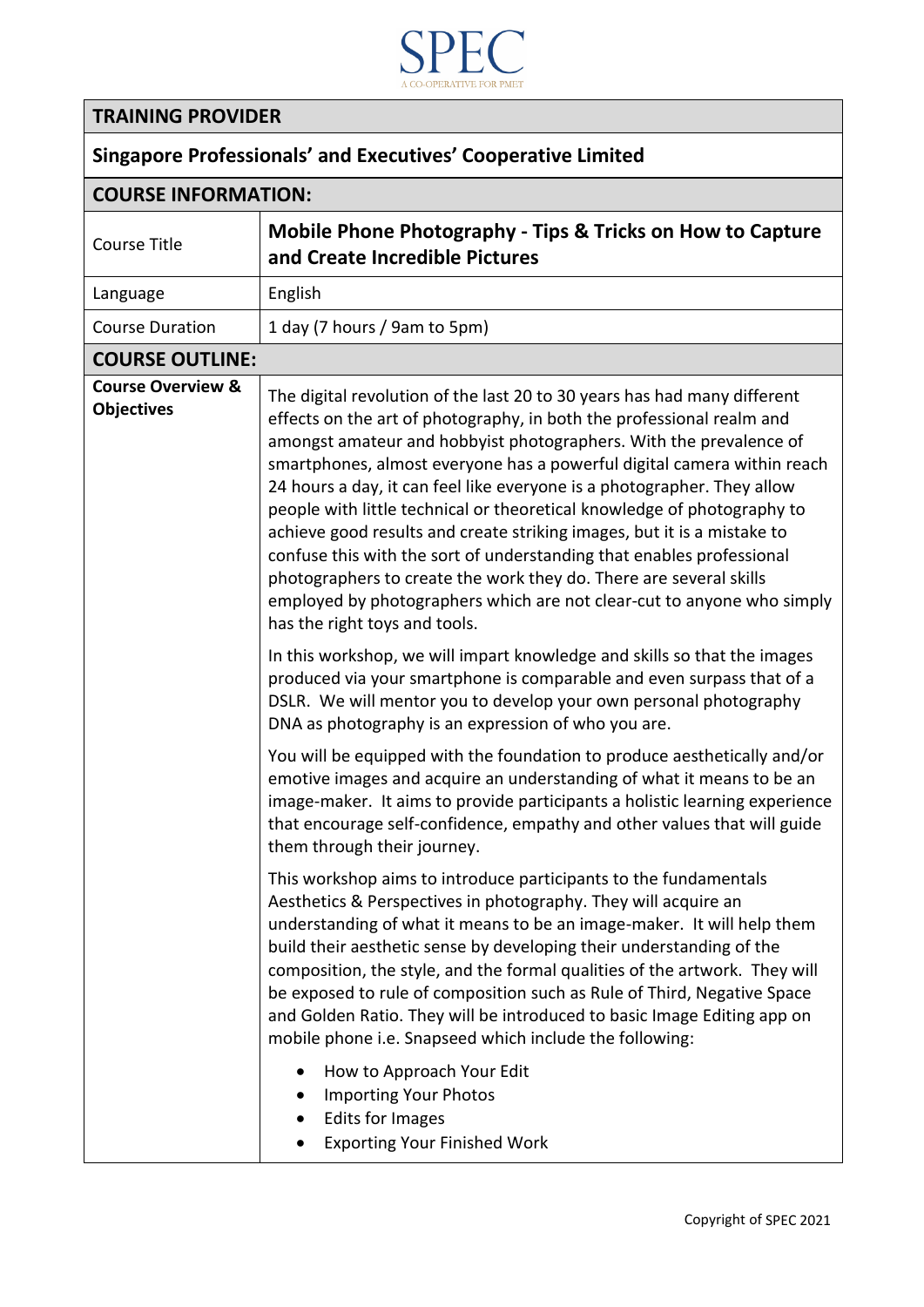

## **TRAINING PROVIDER**

## **Singapore Professionals' and Executives' Cooperative Limited**

| <b>COURSE INFORMATION:</b>                        |                                                                                                                                                                                                                                                                                                                                                                                                                                                                                                                                                                                                                                                                                                                                                                                                                                                                                                                                                                                                                                                                                                                                                            |  |
|---------------------------------------------------|------------------------------------------------------------------------------------------------------------------------------------------------------------------------------------------------------------------------------------------------------------------------------------------------------------------------------------------------------------------------------------------------------------------------------------------------------------------------------------------------------------------------------------------------------------------------------------------------------------------------------------------------------------------------------------------------------------------------------------------------------------------------------------------------------------------------------------------------------------------------------------------------------------------------------------------------------------------------------------------------------------------------------------------------------------------------------------------------------------------------------------------------------------|--|
| <b>Course Title</b>                               | <b>Mobile Phone Photography - Tips &amp; Tricks on How to Capture</b><br>and Create Incredible Pictures                                                                                                                                                                                                                                                                                                                                                                                                                                                                                                                                                                                                                                                                                                                                                                                                                                                                                                                                                                                                                                                    |  |
| Language                                          | English                                                                                                                                                                                                                                                                                                                                                                                                                                                                                                                                                                                                                                                                                                                                                                                                                                                                                                                                                                                                                                                                                                                                                    |  |
| <b>Course Duration</b>                            | 1 day (7 hours / 9am to 5pm)                                                                                                                                                                                                                                                                                                                                                                                                                                                                                                                                                                                                                                                                                                                                                                                                                                                                                                                                                                                                                                                                                                                               |  |
| <b>COURSE OUTLINE:</b>                            |                                                                                                                                                                                                                                                                                                                                                                                                                                                                                                                                                                                                                                                                                                                                                                                                                                                                                                                                                                                                                                                                                                                                                            |  |
| <b>Course Overview &amp;</b><br><b>Objectives</b> | The digital revolution of the last 20 to 30 years has had many different<br>effects on the art of photography, in both the professional realm and<br>amongst amateur and hobbyist photographers. With the prevalence of<br>smartphones, almost everyone has a powerful digital camera within reach<br>24 hours a day, it can feel like everyone is a photographer. They allow<br>people with little technical or theoretical knowledge of photography to<br>achieve good results and create striking images, but it is a mistake to<br>confuse this with the sort of understanding that enables professional<br>photographers to create the work they do. There are several skills<br>employed by photographers which are not clear-cut to anyone who simply<br>has the right toys and tools.<br>In this workshop, we will impart knowledge and skills so that the images<br>produced via your smartphone is comparable and even surpass that of a<br>DSLR. We will mentor you to develop your own personal photography<br>DNA as photography is an expression of who you are.<br>You will be equipped with the foundation to produce aesthetically and/or |  |
|                                                   | emotive images and acquire an understanding of what it means to be an<br>image-maker. It aims to provide participants a holistic learning experience<br>that encourage self-confidence, empathy and other values that will guide<br>them through their journey.<br>This workshop aims to introduce participants to the fundamentals<br>Aesthetics & Perspectives in photography. They will acquire an<br>understanding of what it means to be an image-maker. It will help them<br>build their aesthetic sense by developing their understanding of the<br>composition, the style, and the formal qualities of the artwork. They will<br>be exposed to rule of composition such as Rule of Third, Negative Space<br>and Golden Ratio. They will be introduced to basic Image Editing app on<br>mobile phone i.e. Snapseed which include the following:<br>How to Approach Your Edit<br><b>Importing Your Photos</b><br><b>Edits for Images</b><br><b>Exporting Your Finished Work</b>                                                                                                                                                                      |  |